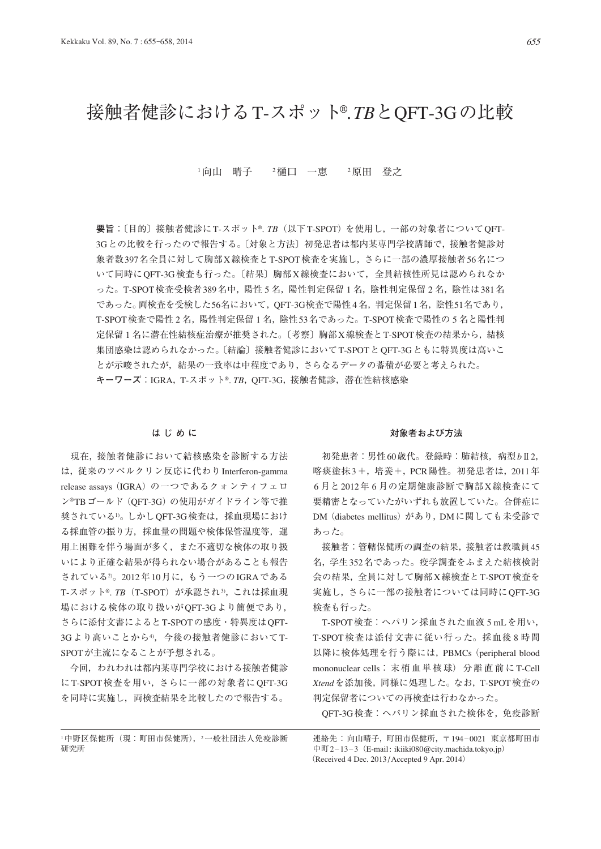# 接触者健診におけるT-スポット®. *TB*とQFT-3Gの比較

1向山 晴子 2樋口 一恵 2原田 登之

**要旨**:〔目的〕接触者健診にT-スポット®. *TB*(以下T-SPOT)を使用し,一部の対象者についてQFT-3Gとの比較を行ったので報告する。〔対象と方法〕初発患者は都内某専門学校講師で,接触者健診対 象者数397名全員に対して胸部X線検査とT-SPOT検査を実施し,さらに一部の濃厚接触者56名につ いて同時にOFT-3G検査も行った。〔結果〕胸部X線検査において、全員結核性所見は認められなか った。T-SPOT検査受検者389名中,陽性 5 名,陽性判定保留 1 名,陰性判定保留 2 名,陰性は381名 であった。両検査を受検した56名において,OFT-3G検査で陽性4名,判定保留1名,陰性51名であり, T-SPOT検査で陽性 2 名,陽性判定保留 1 名,陰性53名であった。T-SPOT検査で陽性の 5 名と陽性判 定保留 1 名に潜在性結核症治療が推奨された。〔考察〕胸部X線検査とT-SPOT検査の結果から,結核 集団感染は認められなかった。〔結論〕接触者健診においてT-SPOTとOFT-3Gともに特異度は高いこ とが示唆されたが,結果の一致率は中程度であり,さらなるデータの蓄積が必要と考えられた。 **キーワーズ: IGRA, T-スポット®. TB, OFT-3G, 接触者健診, 潜在性結核感染** 

# **はじめに**

 現在,接触者健診において結核感染を診断する方法 は、従来のツベルクリン反応に代わり Interferon-gamma release assays (IGRA) の一つであるクォンティフェロ ン®TBゴールド(QFT-3G)の使用がガイドライン等で推 奨されている1)。しかしOFT-3G検査は、採血現場におけ る採血管の振り方,採血量の問題や検体保管温度等,運 用上困難を伴う場面が多く,また不適切な検体の取り扱 いにより正確な結果が得られない場合があることも報告 されている2)。2012年10月に,もう一つのIGRAである T-スポット®. TB (T-SPOT) が承認され<sup>3)</sup>, これは採血現 場における検体の取り扱いがQFT-3Gより簡便であり, さらに添付文書によるとT-SPOTの感度・特異度はQFT-3Gより高いことから4, 今後の接触者健診においてT-SPOTが主流になることが予想される。

 今回,われわれは都内某専門学校における接触者健診 にT-SPOT検査を用い,さらに一部の対象者にQFT-3G を同時に実施し,両検査結果を比較したので報告する。

# <sup>1</sup>中野区保健所(現:町田市保健所),<sup>2</sup>一般社団法人免疫診断 研究所

### **対象者および方法**

 初発患者:男性60歳代。登録時:肺結核,病型*b*Ⅱ2, 喀痰塗抹3 +,培養+,PCR陽性。初発患者は,2011年 6 月と2012年 6 月の定期健康診断で胸部X線検査にて 要精密となっていたがいずれも放置していた。合併症に DM(diabetes mellitus)があり,DMに関しても未受診で あった。

 接触者:管轄保健所の調査の結果,接触者は教職員45 名,学生352名であった。疫学調査をふまえた結核検討 会の結果,全員に対して胸部X線検査とT-SPOT検査を 実施し、さらに一部の接触者については同時にQFT-3G 検査も行った。

T-SPOT検査:ヘパリン採血された血液 5 mLを用い, T-SPOT検査は添付文書に従い行った。採血後 8 時間 以降に検体処理を行う際には, PBMCs (peripheral blood mononuclear cells:末梢血単核球)分離直前に T-Cell *Xtend*を添加後,同様に処理した。なお,T-SPOT検査の 判定保留者についての再検査は行わなかった。

QFT-3G検査:ヘパリン採血された検体を,免疫診断

連絡先:向山晴子,町田市保健所,〒 194\_0021 東京都町田市 中町2-13-3 (E-mail: ikiiki080@city.machida.tokyo.jp) (Received 4 Dec. 2013 / Accepted 9 Apr. 2014)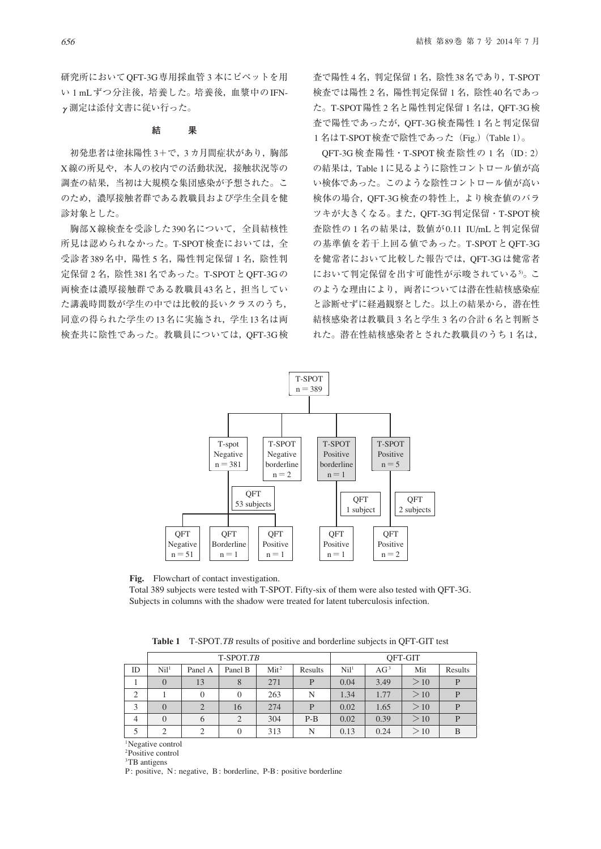研究所においてQFT-3G専用採血管 3 本にピペットを用 い 1 mLずつ分注後,培養した。培養後,血漿中のIFNγ測定は添付文書に従い行った。

# **結 果**

 初発患者は塗抹陽性 3+で,3 カ月間症状があり,胸部 X線の所見や,本人の校内での活動状況,接触状況等の 調査の結果,当初は大規模な集団感染が予想された。こ のため,濃厚接触者群である教職員および学生全員を健 診対象とした。

 胸部X線検査を受診した390名について,全員結核性 所見は認められなかった。T-SPOT検査においては,全 受診者389名中, 陽性 5 名, 陽性判定保留 1 名, 陰性判 定保留 2 名, 陰性 381 名であった。T-SPOT と OFT-3Gの 両検査は濃厚接触群である教職員43名と,担当してい た講義時間数が学生の中では比較的長いクラスのうち, 同意の得られた学生の13名に実施され,学生13名は両 検査共に陰性であった。教職員については,QFT-3G検 査で陽性 4 名,判定保留 1 名,陰性38名であり,T-SPOT 検査では陽性 2 名,陽性判定保留 1 名,陰性40名であっ た。T-SPOT陽性2名と陽性判定保留1名は、OFT-3G検 査で陽性であったが,QFT-3G検査陽性 1 名と判定保留 1名はT-SPOT検査で陰性であった (Fig.) (Table 1)。

OFT-3G 検査陽性·T-SPOT 検査陰性の 1 名 (ID: 2) の結果は,Table 1に見るように陰性コントロール値が高 い検体であった。このような陰性コントロール値が高い 検体の場合,QFT-3G検査の特性上,より検査値のバラ ツキが大きくなる。また,QFT-3G判定保留・T-SPOT検 査陰性の 1 名の結果は,数値が0.11 IU/mLと判定保留 の基準値を若干上回る値であった。T-SPOTとOFT-3G を健常者において比較した報告では,QFT-3Gは健常者 において判定保留を出す可能性が示唆されている5。こ のような理由により、両者については潜在性結核感染症 と診断せずに経過観察とした。以上の結果から,潜在性 結核感染者は教職員 3 名と学生 3 名の合計 6 名と判断さ れた。潜在性結核感染者とされた教職員のうち 1 名は,



**Fig.** Flowchart of contact investigation.

Total 389 subjects were tested with T-SPOT. Fifty-six of them were also tested with QFT-3G. Subjects in columns with the shadow were treated for latent tuberculosis infection.

**Table 1** T-SPOT.*TB* results of positive and borderline subjects in QFT-GIT test

|                |                  |                | T-SPOT.TB |                  | OFT-GIT |                  |            |     |         |
|----------------|------------------|----------------|-----------|------------------|---------|------------------|------------|-----|---------|
| ID             | Nil <sup>1</sup> | Panel A        | Panel B   | Mit <sup>2</sup> | Results | Nil <sup>1</sup> | $\rm AG^3$ | Mit | Results |
|                |                  | 13             | 8         | 271              | P       | 0.04             | 3.49       | >10 |         |
| $\overline{c}$ |                  | $\overline{0}$ | $\theta$  | 263              | N       | 1.34             | 1.77       | >10 | P       |
| 3              | $\theta$         | $\overline{2}$ | 16        | 274              | P       | 0.02             | 1.65       | >10 | D       |
| $\overline{4}$ | $\Omega$         | 6              | 2         | 304              | $P-B$   | 0.02             | 0.39       | >10 | D       |
| 5              | $\mathcal{D}$    | $\mathfrak{D}$ | $\Omega$  | 313              | N       | 0.13             | 0.24       | >10 | B       |

<sup>1</sup>Negative control

2Positive control

<sup>3</sup>TB antigens

P: positive, N: negative, B: borderline, P-B: positive borderline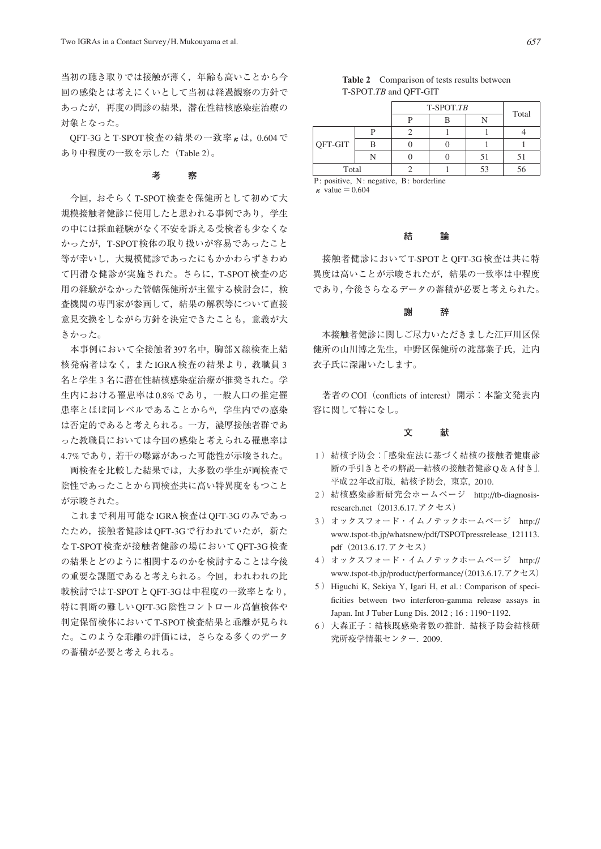当初の聴き取りでは接触が薄く,年齢も高いことから今 回の感染とは考えにくいとして当初は経過観察の方針で あったが,再度の問診の結果,潜在性結核感染症治療の 対象となった。

OFT-3G と T-SPOT 検査の結果の一致率 κ は, 0.604 で あり中程度の一致を示した(Table 2)。

# **考 察**

 今回,おそらくT-SPOT検査を保健所として初めて大 規模接触者健診に使用したと思われる事例であり,学生 の中には採血経験がなく不安を訴える受検者も少なくな かったが,T-SPOT検体の取り扱いが容易であったこと 等が幸いし,大規模健診であったにもかかわらずきわめ て円滑な健診が実施された。さらに,T-SPOT検査の応 用の経験がなかった管轄保健所が主催する検討会に,検 査機関の専門家が参画して,結果の解釈等について直接 意見交換をしながら方針を決定できたことも,意義が大 きかった。

 本事例において全接触者397名中,胸部X線検査上結 核発病者はなく,またIGRA検査の結果より,教職員 3 名と学生 3 名に潜在性結核感染症治療が推奨された。学 生内における罹患率は0.8%であり,一般人口の推定罹 患率とほぼ同レベルであることから6, 学生内での感染 は否定的であると考えられる。一方,濃厚接触者群であ った教職員においては今回の感染と考えられる罹患率は 4.7%であり,若干の曝露があった可能性が示唆された。

 両検査を比較した結果では,大多数の学生が両検査で 陰性であったことから両検査共に高い特異度をもつこと が示唆された。

 これまで利用可能なIGRA検査はQFT-3Gのみであっ たため、接触者健診はOFT-3Gで行われていたが、新た なT-SPOT検査が接触者健診の場においてQFT-3G検査 の結果とどのように相関するのかを検討することは今後 の重要な課題であると考えられる。今回、われわれの比 較検討ではT-SPOTとOFT-3Gは中程度の一致率となり, 特に判断の難しいQFT-3G陰性コントロール高値検体や 判定保留検体においてT-SPOT検査結果と乖離が見られ た。このような乖離の評価には,さらなる多くのデータ の蓄積が必要と考えられる。

# **Table 2** Comparison of tests results between T-SPOT.*TB* and QFT-GIT

|         |   | T-SPOT.TB | Total |    |  |
|---------|---|-----------|-------|----|--|
|         |   |           |       |    |  |
|         |   |           |       |    |  |
| QFT-GIT | B |           |       |    |  |
|         |   |           | 51    |    |  |
| Total   |   |           | 53    | 56 |  |

P: positive, N: negative, B: borderline  $\kappa$  value = 0.604

# **結 論**

 接触者健診においてT-SPOTとQFT-3G検査は共に特 異度は高いことが示唆されたが,結果の一致率は中程度 であり,今後さらなるデータの蓄積が必要と考えられた。

### **謝 辞**

 本接触者健診に関しご尽力いただきました江戸川区保 健所の山川博之先生,中野区保健所の渡部葉子氏,辻内 衣子氏に深謝いたします。

著者のCOI (conflicts of interest) 開示:本論文発表内 容に関して特になし。

# **文 献**

- 1 ) 結核予防会:「感染症法に基づく結核の接触者健康診 断の手引きとその解説─結核の接触者健診Q&A付き」. 平成22年改訂版, 結核予防会, 東京, 2010.
- 2 ) 結核感染診断研究会ホームページ http://tb-diagnosisresearch.net $(2013.6.17.$ アクセス)
- 3 ) オックスフォード・イムノテックホームページ http:// www.tspot-tb.jp/whatsnew/pdf/TSPOTpressrelease\_121113. pdf (2013.6.17. アクセス)
- 4 ) オックスフォード・イムノテックホームページ http:// www.tspot-tb.jp/product/performance/(2013.6.17.アクセス)
- 5 ) Higuchi K, Sekiya Y, Igari H, et al.: Comparison of specificities between two interferon-gamma release assays in Japan. Int J Tuber Lung Dis. 2012; 16: 1190-1192.
- 6 ) 大森正子:結核既感染者数の推計. 結核予防会結核研 究所疫学情報センター. 2009.